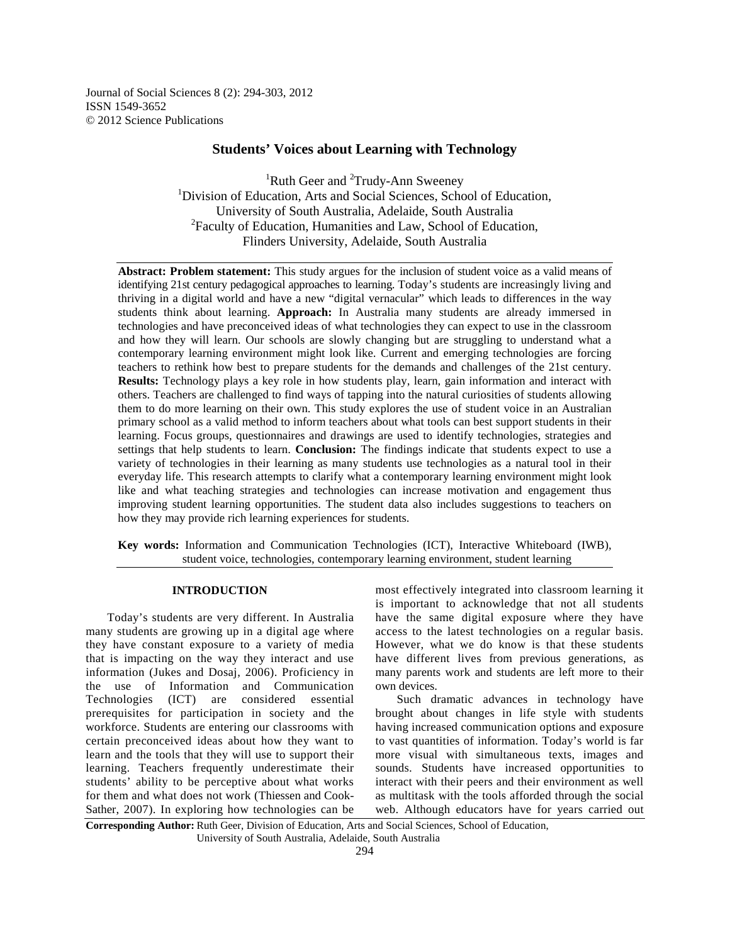Journal of Social Sciences 8 (2): 294-303, 2012 ISSN 1549-3652 © 2012 Science Publications

# **Students' Voices about Learning with Technology**

<sup>1</sup>Ruth Geer and  ${}^{2}$ Trudy-Ann Sweeney <sup>1</sup>Division of Education, Arts and Social Sciences, School of Education, University of South Australia, Adelaide, South Australia <sup>2</sup> Faculty of Education, Humanities and Law, School of Education, Flinders University, Adelaide, South Australia

**Abstract: Problem statement:** This study argues for the inclusion of student voice as a valid means of identifying 21st century pedagogical approaches to learning. Today's students are increasingly living and thriving in a digital world and have a new "digital vernacular" which leads to differences in the way students think about learning. **Approach:** In Australia many students are already immersed in technologies and have preconceived ideas of what technologies they can expect to use in the classroom and how they will learn. Our schools are slowly changing but are struggling to understand what a contemporary learning environment might look like. Current and emerging technologies are forcing teachers to rethink how best to prepare students for the demands and challenges of the 21st century. **Results:** Technology plays a key role in how students play, learn, gain information and interact with others. Teachers are challenged to find ways of tapping into the natural curiosities of students allowing them to do more learning on their own. This study explores the use of student voice in an Australian primary school as a valid method to inform teachers about what tools can best support students in their learning. Focus groups, questionnaires and drawings are used to identify technologies, strategies and settings that help students to learn. **Conclusion:** The findings indicate that students expect to use a variety of technologies in their learning as many students use technologies as a natural tool in their everyday life. This research attempts to clarify what a contemporary learning environment might look like and what teaching strategies and technologies can increase motivation and engagement thus improving student learning opportunities. The student data also includes suggestions to teachers on how they may provide rich learning experiences for students.

**Key words:** Information and Communication Technologies (ICT), Interactive Whiteboard (IWB), student voice, technologies, contemporary learning environment, student learning

# **INTRODUCTION**

 Today's students are very different. In Australia many students are growing up in a digital age where they have constant exposure to a variety of media that is impacting on the way they interact and use information (Jukes and Dosaj, 2006). Proficiency in the use of Information and Communication Technologies (ICT) are considered essential prerequisites for participation in society and the workforce. Students are entering our classrooms with certain preconceived ideas about how they want to learn and the tools that they will use to support their learning. Teachers frequently underestimate their students' ability to be perceptive about what works for them and what does not work (Thiessen and Cook-Sather, 2007). In exploring how technologies can be

most effectively integrated into classroom learning it is important to acknowledge that not all students have the same digital exposure where they have access to the latest technologies on a regular basis. However, what we do know is that these students have different lives from previous generations, as many parents work and students are left more to their own devices.

 Such dramatic advances in technology have brought about changes in life style with students having increased communication options and exposure to vast quantities of information. Today's world is far more visual with simultaneous texts, images and sounds. Students have increased opportunities to interact with their peers and their environment as well as multitask with the tools afforded through the social web. Although educators have for years carried out

**Corresponding Author:** Ruth Geer, Division of Education, Arts and Social Sciences, School of Education, University of South Australia, Adelaide, South Australia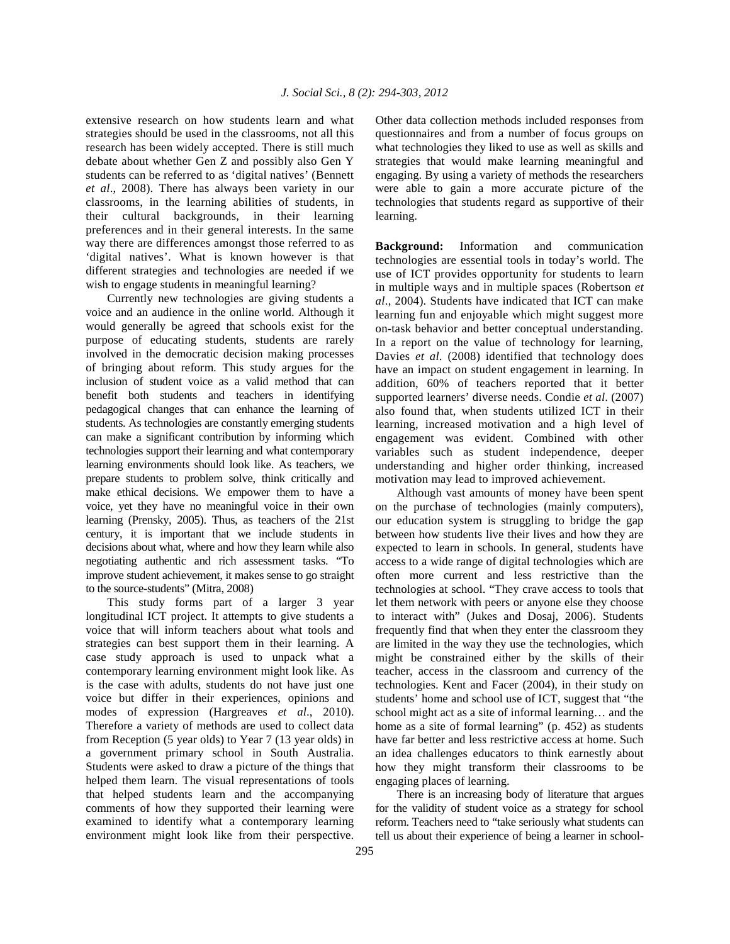extensive research on how students learn and what strategies should be used in the classrooms, not all this research has been widely accepted. There is still much debate about whether Gen Z and possibly also Gen Y students can be referred to as 'digital natives' (Bennett *et al*., 2008). There has always been variety in our classrooms, in the learning abilities of students, in their cultural backgrounds, in their learning preferences and in their general interests. In the same way there are differences amongst those referred to as 'digital natives'. What is known however is that different strategies and technologies are needed if we wish to engage students in meaningful learning?

 Currently new technologies are giving students a voice and an audience in the online world. Although it would generally be agreed that schools exist for the purpose of educating students, students are rarely involved in the democratic decision making processes of bringing about reform. This study argues for the inclusion of student voice as a valid method that can benefit both students and teachers in identifying pedagogical changes that can enhance the learning of students. As technologies are constantly emerging students can make a significant contribution by informing which technologies support their learning and what contemporary learning environments should look like. As teachers, we prepare students to problem solve, think critically and make ethical decisions. We empower them to have a voice, yet they have no meaningful voice in their own learning (Prensky, 2005). Thus, as teachers of the 21st century, it is important that we include students in decisions about what, where and how they learn while also negotiating authentic and rich assessment tasks. "To improve student achievement, it makes sense to go straight to the source-students" (Mitra, 2008)

 This study forms part of a larger 3 year longitudinal ICT project. It attempts to give students a voice that will inform teachers about what tools and strategies can best support them in their learning. A case study approach is used to unpack what a contemporary learning environment might look like. As is the case with adults, students do not have just one voice but differ in their experiences, opinions and modes of expression (Hargreaves *et al*., 2010). Therefore a variety of methods are used to collect data from Reception (5 year olds) to Year 7 (13 year olds) in a government primary school in South Australia. Students were asked to draw a picture of the things that helped them learn. The visual representations of tools that helped students learn and the accompanying comments of how they supported their learning were examined to identify what a contemporary learning environment might look like from their perspective.

Other data collection methods included responses from questionnaires and from a number of focus groups on what technologies they liked to use as well as skills and strategies that would make learning meaningful and engaging. By using a variety of methods the researchers were able to gain a more accurate picture of the technologies that students regard as supportive of their learning.

**Background:** Information and communication technologies are essential tools in today's world. The use of ICT provides opportunity for students to learn in multiple ways and in multiple spaces (Robertson *et al*., 2004). Students have indicated that ICT can make learning fun and enjoyable which might suggest more on-task behavior and better conceptual understanding. In a report on the value of technology for learning, Davies *et al*. (2008) identified that technology does have an impact on student engagement in learning. In addition, 60% of teachers reported that it better supported learners' diverse needs. Condie *et al*. (2007) also found that, when students utilized ICT in their learning, increased motivation and a high level of engagement was evident. Combined with other variables such as student independence, deeper understanding and higher order thinking, increased motivation may lead to improved achievement.

 Although vast amounts of money have been spent on the purchase of technologies (mainly computers), our education system is struggling to bridge the gap between how students live their lives and how they are expected to learn in schools. In general, students have access to a wide range of digital technologies which are often more current and less restrictive than the technologies at school. "They crave access to tools that let them network with peers or anyone else they choose to interact with" (Jukes and Dosaj, 2006). Students frequently find that when they enter the classroom they are limited in the way they use the technologies, which might be constrained either by the skills of their teacher, access in the classroom and currency of the technologies. Kent and Facer (2004), in their study on students' home and school use of ICT, suggest that "the school might act as a site of informal learning… and the home as a site of formal learning" (p. 452) as students have far better and less restrictive access at home. Such an idea challenges educators to think earnestly about how they might transform their classrooms to be engaging places of learning.

 There is an increasing body of literature that argues for the validity of student voice as a strategy for school reform. Teachers need to "take seriously what students can tell us about their experience of being a learner in school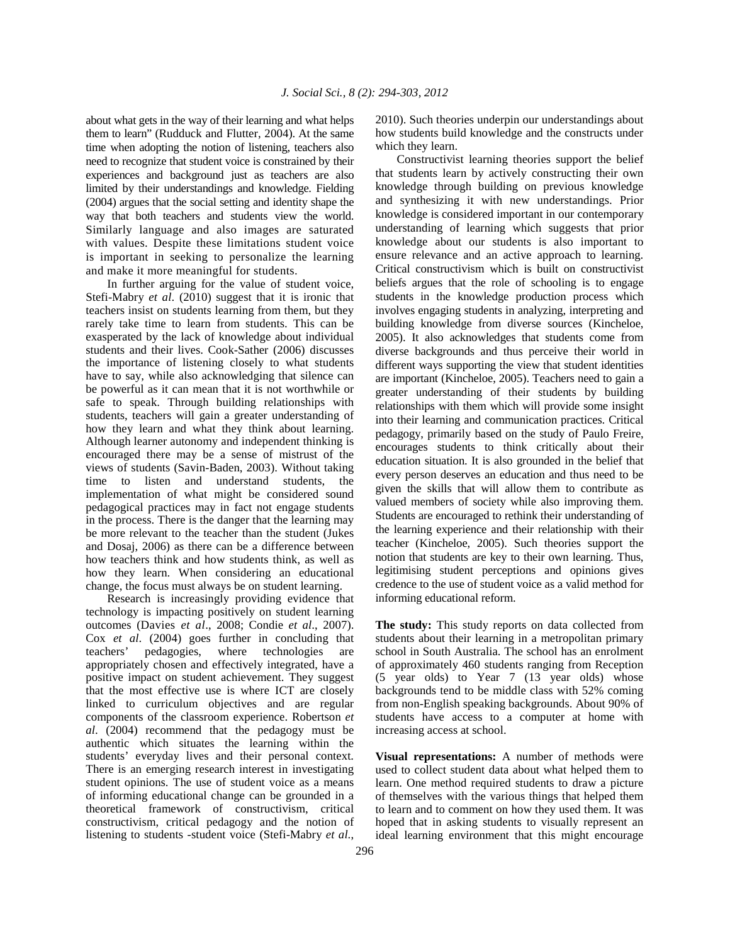about what gets in the way of their learning and what helps them to learn" (Rudduck and Flutter, 2004). At the same time when adopting the notion of listening, teachers also need to recognize that student voice is constrained by their experiences and background just as teachers are also limited by their understandings and knowledge. Fielding (2004) argues that the social setting and identity shape the way that both teachers and students view the world. Similarly language and also images are saturated with values. Despite these limitations student voice is important in seeking to personalize the learning and make it more meaningful for students.

 In further arguing for the value of student voice, Stefi-Mabry *et al*. (2010) suggest that it is ironic that teachers insist on students learning from them, but they rarely take time to learn from students. This can be exasperated by the lack of knowledge about individual students and their lives. Cook-Sather (2006) discusses the importance of listening closely to what students have to say, while also acknowledging that silence can be powerful as it can mean that it is not worthwhile or safe to speak. Through building relationships with students, teachers will gain a greater understanding of how they learn and what they think about learning. Although learner autonomy and independent thinking is encouraged there may be a sense of mistrust of the views of students (Savin-Baden, 2003). Without taking time to listen and understand students, the implementation of what might be considered sound pedagogical practices may in fact not engage students in the process. There is the danger that the learning may be more relevant to the teacher than the student (Jukes and Dosaj, 2006) as there can be a difference between how teachers think and how students think, as well as how they learn. When considering an educational change, the focus must always be on student learning.

 Research is increasingly providing evidence that technology is impacting positively on student learning outcomes (Davies *et al*., 2008; Condie *et al*., 2007). Cox *et al*. (2004) goes further in concluding that teachers' pedagogies, where technologies are appropriately chosen and effectively integrated, have a positive impact on student achievement. They suggest that the most effective use is where ICT are closely linked to curriculum objectives and are regular components of the classroom experience. Robertson *et al*. (2004) recommend that the pedagogy must be authentic which situates the learning within the students' everyday lives and their personal context. There is an emerging research interest in investigating student opinions. The use of student voice as a means of informing educational change can be grounded in a theoretical framework of constructivism, critical constructivism, critical pedagogy and the notion of listening to students -student voice (Stefi-Mabry *et al*.,

2010). Such theories underpin our understandings about how students build knowledge and the constructs under which they learn.

 Constructivist learning theories support the belief that students learn by actively constructing their own knowledge through building on previous knowledge and synthesizing it with new understandings. Prior knowledge is considered important in our contemporary understanding of learning which suggests that prior knowledge about our students is also important to ensure relevance and an active approach to learning. Critical constructivism which is built on constructivist beliefs argues that the role of schooling is to engage students in the knowledge production process which involves engaging students in analyzing, interpreting and building knowledge from diverse sources (Kincheloe, 2005). It also acknowledges that students come from diverse backgrounds and thus perceive their world in different ways supporting the view that student identities are important (Kincheloe, 2005). Teachers need to gain a greater understanding of their students by building relationships with them which will provide some insight into their learning and communication practices. Critical pedagogy, primarily based on the study of Paulo Freire, encourages students to think critically about their education situation. It is also grounded in the belief that every person deserves an education and thus need to be given the skills that will allow them to contribute as valued members of society while also improving them. Students are encouraged to rethink their understanding of the learning experience and their relationship with their teacher (Kincheloe, 2005). Such theories support the notion that students are key to their own learning. Thus, legitimising student perceptions and opinions gives credence to the use of student voice as a valid method for informing educational reform.

**The study:** This study reports on data collected from students about their learning in a metropolitan primary school in South Australia. The school has an enrolment of approximately 460 students ranging from Reception (5 year olds) to Year 7 (13 year olds) whose backgrounds tend to be middle class with 52% coming from non-English speaking backgrounds. About 90% of students have access to a computer at home with increasing access at school.

**Visual representations:** A number of methods were used to collect student data about what helped them to learn. One method required students to draw a picture of themselves with the various things that helped them to learn and to comment on how they used them. It was hoped that in asking students to visually represent an ideal learning environment that this might encourage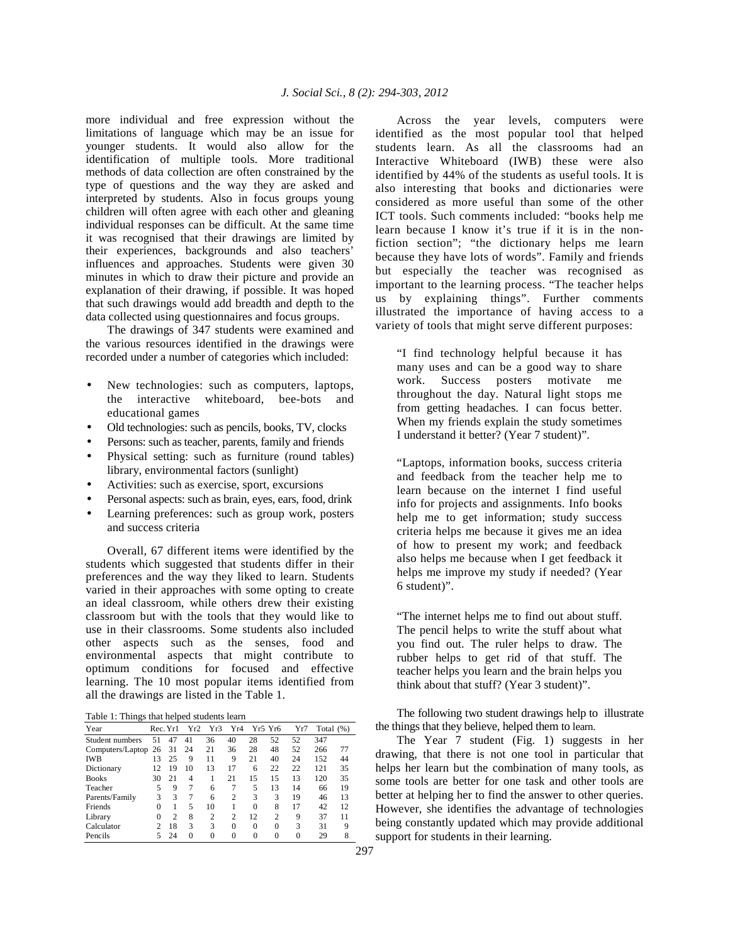more individual and free expression without the limitations of language which may be an issue for younger students. It would also allow for the identification of multiple tools. More traditional methods of data collection are often constrained by the type of questions and the way they are asked and interpreted by students. Also in focus groups young children will often agree with each other and gleaning individual responses can be difficult. At the same time it was recognised that their drawings are limited by their experiences, backgrounds and also teachers' influences and approaches. Students were given 30 minutes in which to draw their picture and provide an explanation of their drawing, if possible. It was hoped that such drawings would add breadth and depth to the data collected using questionnaires and focus groups.

 The drawings of 347 students were examined and the various resources identified in the drawings were recorded under a number of categories which included:

- New technologies: such as computers, laptops, the interactive whiteboard, bee-bots and educational games
- Old technologies: such as pencils, books, TV, clocks
- Persons: such as teacher, parents, family and friends
- Physical setting: such as furniture (round tables) library, environmental factors (sunlight)
- Activities: such as exercise, sport, excursions
- Personal aspects: such as brain, eyes, ears, food, drink
- Learning preferences: such as group work, posters and success criteria

 Overall, 67 different items were identified by the students which suggested that students differ in their preferences and the way they liked to learn. Students varied in their approaches with some opting to create an ideal classroom, while others drew their existing classroom but with the tools that they would like to use in their classrooms. Some students also included other aspects such as the senses, food and environmental aspects that might contribute to optimum conditions for focused and effective learning. The 10 most popular items identified from all the drawings are listed in the Table 1.

Table 1: Things that helped students learn

| runned and neiped beauents rearm |                |                |     |                |                |          |                |     |              |    |
|----------------------------------|----------------|----------------|-----|----------------|----------------|----------|----------------|-----|--------------|----|
| Year                             | Rec. Yr1       |                | Yr2 | Yr3            | Yr4            |          | Yr5 Yr6        | Yr7 | Total $(\%)$ |    |
| Student numbers                  | 51             | 47             | 41  | 36             | 40             | 28       | 52             | 52  | 347          |    |
| Computers/Laptop                 | 26             | -31            | 24  | 21             | 36             | 28       | 48             | 52  | 266          | 77 |
| <b>IWB</b>                       | 13             | 25             | 9   | 11             | 9              | 21       | 40             | 24  | 152          | 44 |
| Dictionary                       | 12             | 19             | 10  | 13             | 17             | 6        | 22             | 22  | 121          | 35 |
| <b>Books</b>                     | 30             | 21             | 4   |                | 21             | 15       | 15             | 13  | 120          | 35 |
| Teacher                          | 5              | 9              | 7   | 6              |                | 5        | 13             | 14  | 66           | 19 |
| Parents/Family                   | 3              | 3              |     | 6              | 2              | 3        | 3              | 19  | 46           | 13 |
| Friends                          | 0              |                | 5   | 10             |                | $\Omega$ | 8              | 17  | 42           | 12 |
| Library                          | 0              | $\overline{c}$ | 8   | $\overline{c}$ | $\overline{c}$ | 12       | $\overline{c}$ | 9   | 37           | 11 |
| Calculator                       | $\mathfrak{D}$ | 18             | 3   | 3              | 0              | $\Omega$ | $\theta$       | 3   | 31           | 9  |
| Pencils                          |                | 24             | 0   | 0              |                | 0        | 0              | 0   | 29           | 8  |

 Across the year levels, computers were identified as the most popular tool that helped students learn. As all the classrooms had an Interactive Whiteboard (IWB) these were also identified by 44% of the students as useful tools. It is also interesting that books and dictionaries were considered as more useful than some of the other ICT tools. Such comments included: "books help me learn because I know it's true if it is in the nonfiction section"; "the dictionary helps me learn because they have lots of words". Family and friends but especially the teacher was recognised as important to the learning process. "The teacher helps us by explaining things". Further comments illustrated the importance of having access to a variety of tools that might serve different purposes:

"I find technology helpful because it has many uses and can be a good way to share work. Success posters motivate me throughout the day. Natural light stops me from getting headaches. I can focus better. When my friends explain the study sometimes I understand it better? (Year 7 student)".

"Laptops, information books, success criteria and feedback from the teacher help me to learn because on the internet I find useful info for projects and assignments. Info books help me to get information; study success criteria helps me because it gives me an idea of how to present my work; and feedback also helps me because when I get feedback it helps me improve my study if needed? (Year 6 student)".

"The internet helps me to find out about stuff. The pencil helps to write the stuff about what you find out. The ruler helps to draw. The rubber helps to get rid of that stuff. The teacher helps you learn and the brain helps you think about that stuff? (Year 3 student)".

 The following two student drawings help to illustrate the things that they believe, helped them to learn.

 The Year 7 student (Fig. 1) suggests in her drawing, that there is not one tool in particular that helps her learn but the combination of many tools, as some tools are better for one task and other tools are better at helping her to find the answer to other queries. However, she identifies the advantage of technologies being constantly updated which may provide additional support for students in their learning.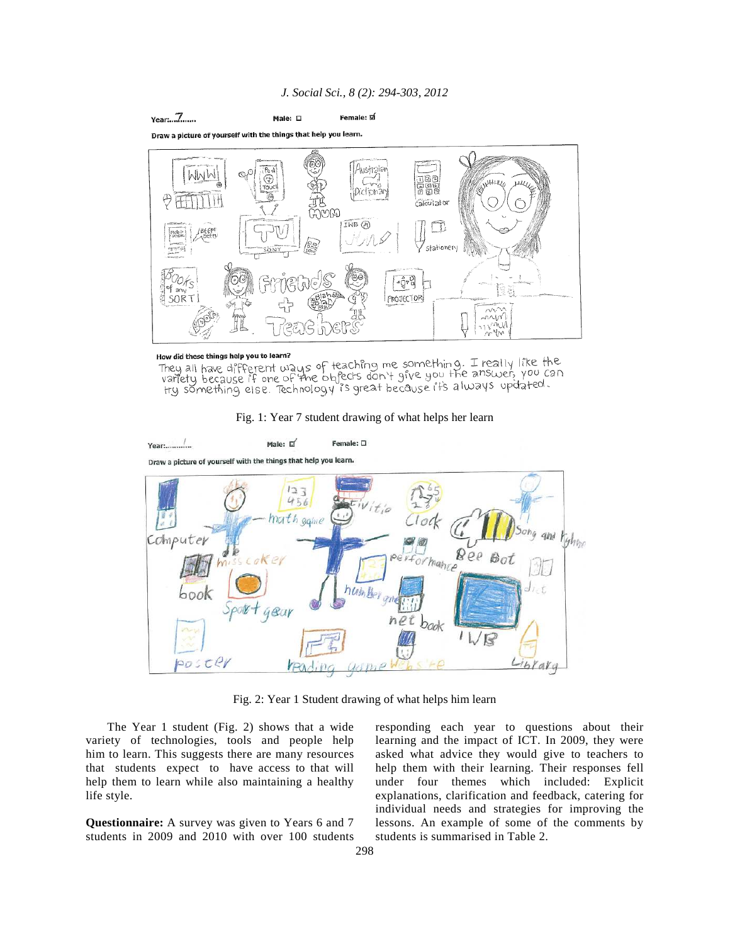

Female: ⊠

Draw a picture of yourself with the things that help you learn.

Male:  $\square$ 



#### How did these things help you to learn?

How did these things help you to learn?<br>They all have different ways of teaching me something. I really like the<br>variety because if one of the objects don't give you the answer, you can<br>try something else. Technology is gr





Fig. 2: Year 1 Student drawing of what helps him learn

 The Year 1 student (Fig. 2) shows that a wide variety of technologies, tools and people help him to learn. This suggests there are many resources that students expect to have access to that will help them to learn while also maintaining a healthy life style.

**Questionnaire:** A survey was given to Years 6 and 7 students in 2009 and 2010 with over 100 students responding each year to questions about their learning and the impact of ICT. In 2009, they were asked what advice they would give to teachers to help them with their learning. Their responses fell under four themes which included: Explicit explanations, clarification and feedback, catering for individual needs and strategies for improving the lessons. An example of some of the comments by students is summarised in Table 2.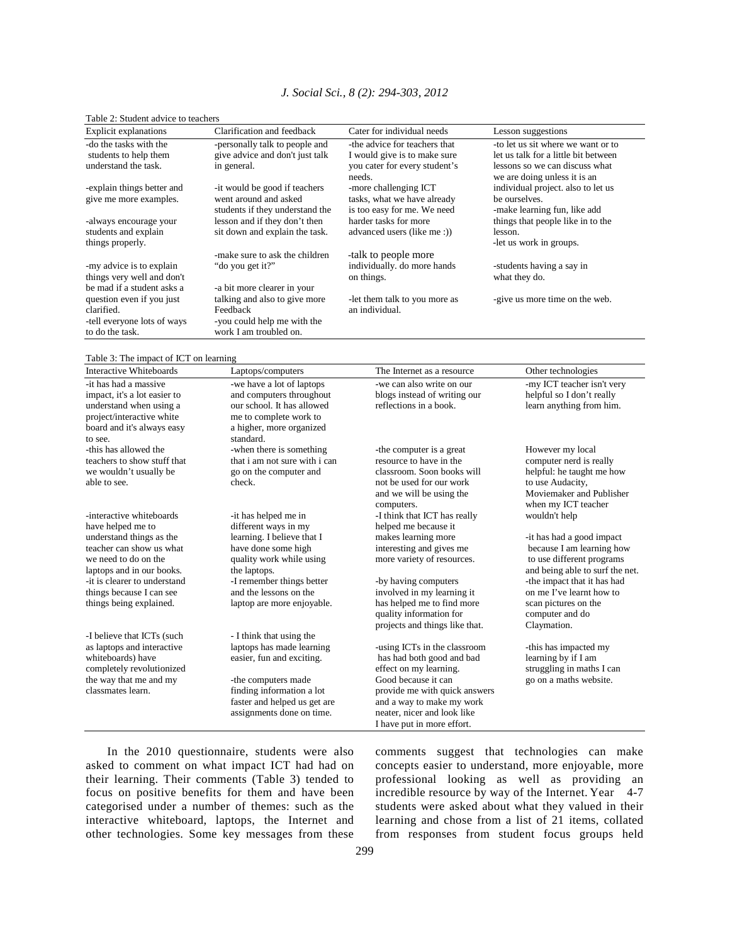| Table 2: Student advice to teachers |  |  |
|-------------------------------------|--|--|
|-------------------------------------|--|--|

| e aois 2. Diagoni au rice io icaensi<br><b>Explicit explanations</b> | Clarification and feedback                                        | Cater for individual needs                                    | Lesson suggestions                                                         |
|----------------------------------------------------------------------|-------------------------------------------------------------------|---------------------------------------------------------------|----------------------------------------------------------------------------|
| -do the tasks with the<br>students to help them                      | -personally talk to people and<br>give advice and don't just talk | -the advice for teachers that<br>I would give is to make sure | -to let us sit where we want or to<br>let us talk for a little bit between |
| understand the task.                                                 | in general.                                                       | you cater for every student's<br>needs.                       | lessons so we can discuss what<br>we are doing unless it is an             |
| -explain things better and                                           | -it would be good if teachers                                     | -more challenging ICT                                         | individual project. also to let us                                         |
| give me more examples.                                               | went around and asked<br>students if they understand the          | tasks, what we have already<br>is too easy for me. We need    | be ourselves.<br>-make learning fun, like add                              |
| -always encourage your                                               | lesson and if they don't then                                     | harder tasks for more                                         | things that people like in to the                                          |
| students and explain<br>things properly.                             | sit down and explain the task.                                    | advanced users (like me:))                                    | lesson.<br>-let us work in groups.                                         |
|                                                                      | -make sure to ask the children                                    | -talk to people more                                          |                                                                            |
| -my advice is to explain<br>things very well and don't               | "do you get it?"                                                  | individually, do more hands<br>on things.                     | -students having a say in<br>what they do.                                 |
| be mad if a student asks a                                           | -a bit more clearer in your                                       |                                                               |                                                                            |
| question even if you just<br>clarified.                              | talking and also to give more<br>Feedback                         | -let them talk to you more as<br>an individual.               | -give us more time on the web.                                             |
| -tell everyone lots of ways                                          | -you could help me with the                                       |                                                               |                                                                            |
| to do the task.                                                      | work I am troubled on.                                            |                                                               |                                                                            |

### Table 3: The impact of ICT on learning

| rable 5. The impact of Terr on real map<br>Interactive Whiteboards | Laptops/computers             | The Internet as a resource.    | Other technologies              |
|--------------------------------------------------------------------|-------------------------------|--------------------------------|---------------------------------|
| -it has had a massive                                              | -we have a lot of laptops     | -we can also write on our      | -my ICT teacher isn't very      |
| impact, it's a lot easier to                                       | and computers throughout      | blogs instead of writing our   | helpful so I don't really       |
| understand when using a                                            | our school. It has allowed    | reflections in a book.         | learn anything from him.        |
| project/interactive white                                          | me to complete work to        |                                |                                 |
| board and it's always easy                                         | a higher, more organized      |                                |                                 |
| to see.                                                            | standard.                     |                                |                                 |
| -this has allowed the                                              | -when there is something      | -the computer is a great       | However my local                |
| teachers to show stuff that                                        | that i am not sure with i can | resource to have in the        | computer nerd is really         |
| we wouldn't usually be                                             | go on the computer and        | classroom. Soon books will     | helpful: he taught me how       |
| able to see.                                                       | check.                        | not be used for our work       | to use Audacity,                |
|                                                                    |                               | and we will be using the       | Moviemaker and Publisher        |
|                                                                    |                               | computers.                     | when my ICT teacher             |
| -interactive whiteboards                                           | -it has helped me in          | -I think that ICT has really   | wouldn't help                   |
| have helped me to                                                  | different ways in my          | helped me because it           |                                 |
| understand things as the                                           | learning. I believe that I    | makes learning more            | -it has had a good impact       |
| teacher can show us what                                           | have done some high           | interesting and gives me       | because I am learning how       |
| we need to do on the                                               | quality work while using      | more variety of resources.     | to use different programs       |
| laptops and in our books.                                          | the laptops.                  |                                | and being able to surf the net. |
| -it is clearer to understand                                       | -I remember things better     | -by having computers           | -the impact that it has had     |
| things because I can see                                           | and the lessons on the        | involved in my learning it     | on me I've learnt how to        |
| things being explained.                                            | laptop are more enjoyable.    | has helped me to find more     | scan pictures on the            |
|                                                                    |                               | quality information for        | computer and do                 |
|                                                                    |                               | projects and things like that. | Claymation.                     |
| -I believe that ICTs (such                                         | - I think that using the      |                                |                                 |
| as laptops and interactive                                         | laptops has made learning     | -using ICTs in the classroom   | -this has impacted my           |
| whiteboards) have                                                  | easier, fun and exciting.     | has had both good and bad      | learning by if I am             |
| completely revolutionized                                          |                               | effect on my learning.         | struggling in maths I can       |
| the way that me and my                                             | -the computers made           | Good because it can            | go on a maths website.          |
| classmates learn.                                                  | finding information a lot     | provide me with quick answers  |                                 |
|                                                                    | faster and helped us get are  | and a way to make my work      |                                 |
|                                                                    | assignments done on time.     | neater, nicer and look like    |                                 |
|                                                                    |                               | I have put in more effort.     |                                 |

 In the 2010 questionnaire, students were also asked to comment on what impact ICT had had on their learning. Their comments (Table 3) tended to focus on positive benefits for them and have been categorised under a number of themes: such as the interactive whiteboard, laptops, the Internet and other technologies. Some key messages from these

comments suggest that technologies can make concepts easier to understand, more enjoyable, more professional looking as well as providing an incredible resource by way of the Internet. Year 4-7 students were asked about what they valued in their learning and chose from a list of 21 items, collated from responses from student focus groups held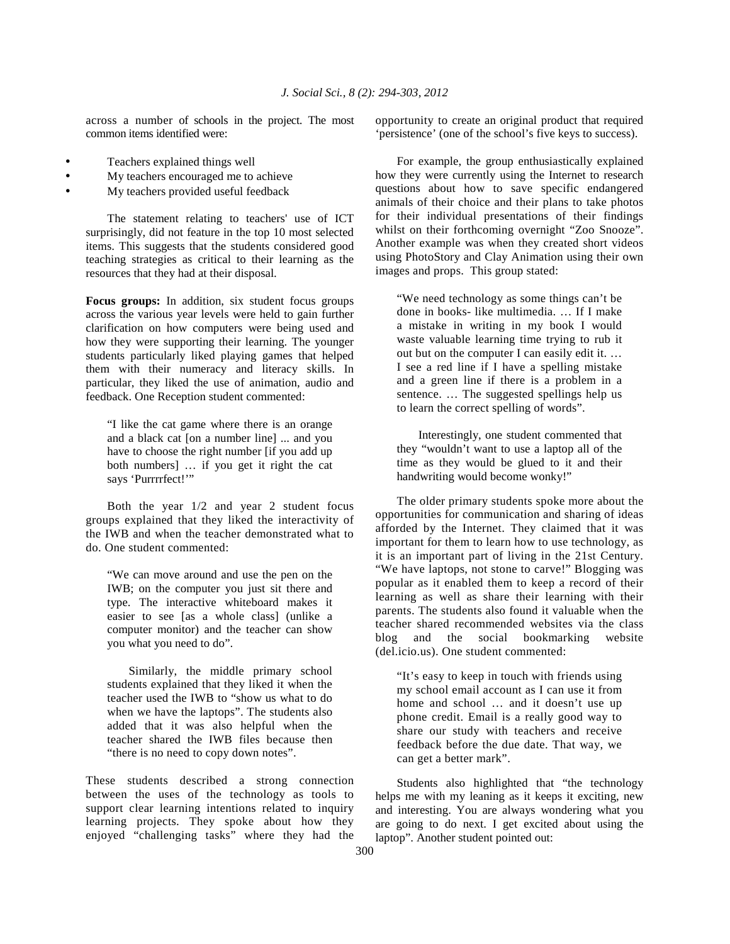across a number of schools in the project. The most common items identified were:

- Teachers explained things well
- My teachers encouraged me to achieve
- My teachers provided useful feedback

 The statement relating to teachers' use of ICT surprisingly, did not feature in the top 10 most selected items. This suggests that the students considered good teaching strategies as critical to their learning as the resources that they had at their disposal.

**Focus groups:** In addition, six student focus groups across the various year levels were held to gain further clarification on how computers were being used and how they were supporting their learning. The younger students particularly liked playing games that helped them with their numeracy and literacy skills. In particular, they liked the use of animation, audio and feedback. One Reception student commented:

"I like the cat game where there is an orange and a black cat [on a number line] ... and you have to choose the right number [if you add up both numbers] … if you get it right the cat says 'Purrrrfect!"

 Both the year 1/2 and year 2 student focus groups explained that they liked the interactivity of the IWB and when the teacher demonstrated what to do. One student commented:

"We can move around and use the pen on the IWB; on the computer you just sit there and type. The interactive whiteboard makes it easier to see [as a whole class] (unlike a computer monitor) and the teacher can show you what you need to do".

 Similarly, the middle primary school students explained that they liked it when the teacher used the IWB to "show us what to do when we have the laptops". The students also added that it was also helpful when the teacher shared the IWB files because then "there is no need to copy down notes".

These students described a strong connection between the uses of the technology as tools to support clear learning intentions related to inquiry learning projects. They spoke about how they enjoyed "challenging tasks" where they had the

opportunity to create an original product that required 'persistence' (one of the school's five keys to success).

 For example, the group enthusiastically explained how they were currently using the Internet to research questions about how to save specific endangered animals of their choice and their plans to take photos for their individual presentations of their findings whilst on their forthcoming overnight "Zoo Snooze". Another example was when they created short videos using PhotoStory and Clay Animation using their own images and props. This group stated:

"We need technology as some things can't be done in books- like multimedia. … If I make a mistake in writing in my book I would waste valuable learning time trying to rub it out but on the computer I can easily edit it. … I see a red line if I have a spelling mistake and a green line if there is a problem in a sentence. … The suggested spellings help us to learn the correct spelling of words".

 Interestingly, one student commented that they "wouldn't want to use a laptop all of the time as they would be glued to it and their handwriting would become wonky!"

 The older primary students spoke more about the opportunities for communication and sharing of ideas afforded by the Internet. They claimed that it was important for them to learn how to use technology, as it is an important part of living in the 21st Century. "We have laptops, not stone to carve!" Blogging was popular as it enabled them to keep a record of their learning as well as share their learning with their parents. The students also found it valuable when the teacher shared recommended websites via the class blog and the social bookmarking website (del.icio.us). One student commented:

"It's easy to keep in touch with friends using my school email account as I can use it from home and school … and it doesn't use up phone credit. Email is a really good way to share our study with teachers and receive feedback before the due date. That way, we can get a better mark".

 Students also highlighted that "the technology helps me with my leaning as it keeps it exciting, new and interesting. You are always wondering what you are going to do next. I get excited about using the laptop". Another student pointed out: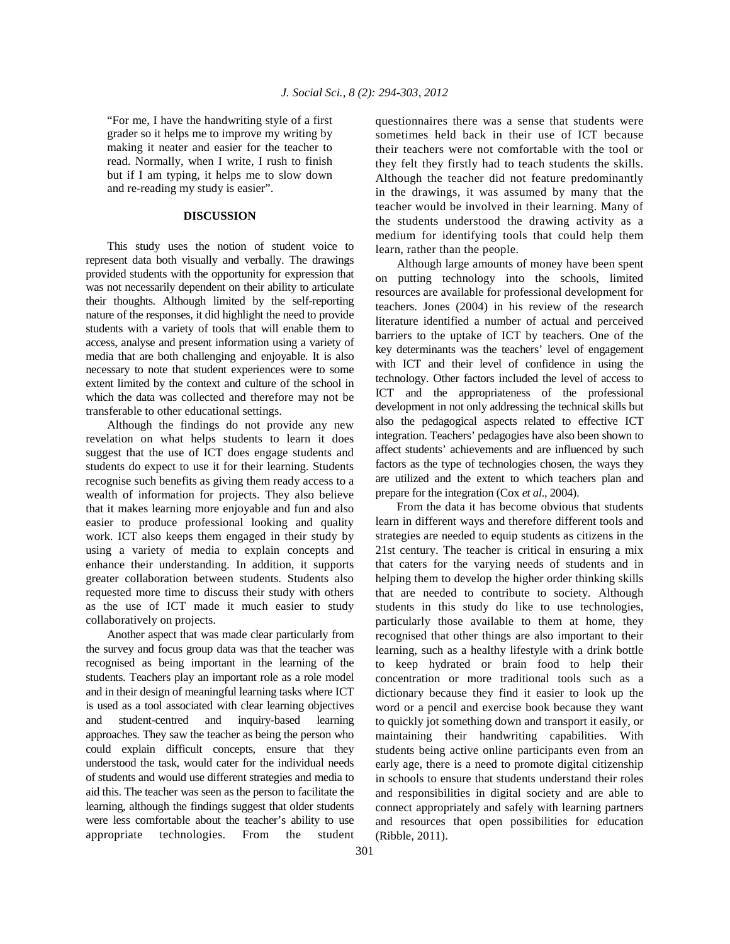"For me, I have the handwriting style of a first grader so it helps me to improve my writing by making it neater and easier for the teacher to read. Normally, when I write, I rush to finish but if I am typing, it helps me to slow down and re-reading my study is easier".

## **DISCUSSION**

 This study uses the notion of student voice to represent data both visually and verbally. The drawings provided students with the opportunity for expression that was not necessarily dependent on their ability to articulate their thoughts. Although limited by the self-reporting nature of the responses, it did highlight the need to provide students with a variety of tools that will enable them to access, analyse and present information using a variety of media that are both challenging and enjoyable. It is also necessary to note that student experiences were to some extent limited by the context and culture of the school in which the data was collected and therefore may not be transferable to other educational settings.

 Although the findings do not provide any new revelation on what helps students to learn it does suggest that the use of ICT does engage students and students do expect to use it for their learning. Students recognise such benefits as giving them ready access to a wealth of information for projects. They also believe that it makes learning more enjoyable and fun and also easier to produce professional looking and quality work. ICT also keeps them engaged in their study by using a variety of media to explain concepts and enhance their understanding. In addition, it supports greater collaboration between students. Students also requested more time to discuss their study with others as the use of ICT made it much easier to study collaboratively on projects.

 Another aspect that was made clear particularly from the survey and focus group data was that the teacher was recognised as being important in the learning of the students. Teachers play an important role as a role model and in their design of meaningful learning tasks where ICT is used as a tool associated with clear learning objectives and student-centred and inquiry-based learning approaches. They saw the teacher as being the person who could explain difficult concepts, ensure that they understood the task, would cater for the individual needs of students and would use different strategies and media to aid this. The teacher was seen as the person to facilitate the learning, although the findings suggest that older students were less comfortable about the teacher's ability to use appropriate technologies. From the student

questionnaires there was a sense that students were sometimes held back in their use of ICT because their teachers were not comfortable with the tool or they felt they firstly had to teach students the skills. Although the teacher did not feature predominantly in the drawings, it was assumed by many that the teacher would be involved in their learning. Many of the students understood the drawing activity as a medium for identifying tools that could help them learn, rather than the people.

 Although large amounts of money have been spent on putting technology into the schools, limited resources are available for professional development for teachers. Jones (2004) in his review of the research literature identified a number of actual and perceived barriers to the uptake of ICT by teachers. One of the key determinants was the teachers' level of engagement with ICT and their level of confidence in using the technology. Other factors included the level of access to ICT and the appropriateness of the professional development in not only addressing the technical skills but also the pedagogical aspects related to effective ICT integration. Teachers' pedagogies have also been shown to affect students' achievements and are influenced by such factors as the type of technologies chosen, the ways they are utilized and the extent to which teachers plan and prepare for the integration (Cox *et al*., 2004).

 From the data it has become obvious that students learn in different ways and therefore different tools and strategies are needed to equip students as citizens in the 21st century. The teacher is critical in ensuring a mix that caters for the varying needs of students and in helping them to develop the higher order thinking skills that are needed to contribute to society. Although students in this study do like to use technologies, particularly those available to them at home, they recognised that other things are also important to their learning, such as a healthy lifestyle with a drink bottle to keep hydrated or brain food to help their concentration or more traditional tools such as a dictionary because they find it easier to look up the word or a pencil and exercise book because they want to quickly jot something down and transport it easily, or maintaining their handwriting capabilities. With students being active online participants even from an early age, there is a need to promote digital citizenship in schools to ensure that students understand their roles and responsibilities in digital society and are able to connect appropriately and safely with learning partners and resources that open possibilities for education (Ribble, 2011).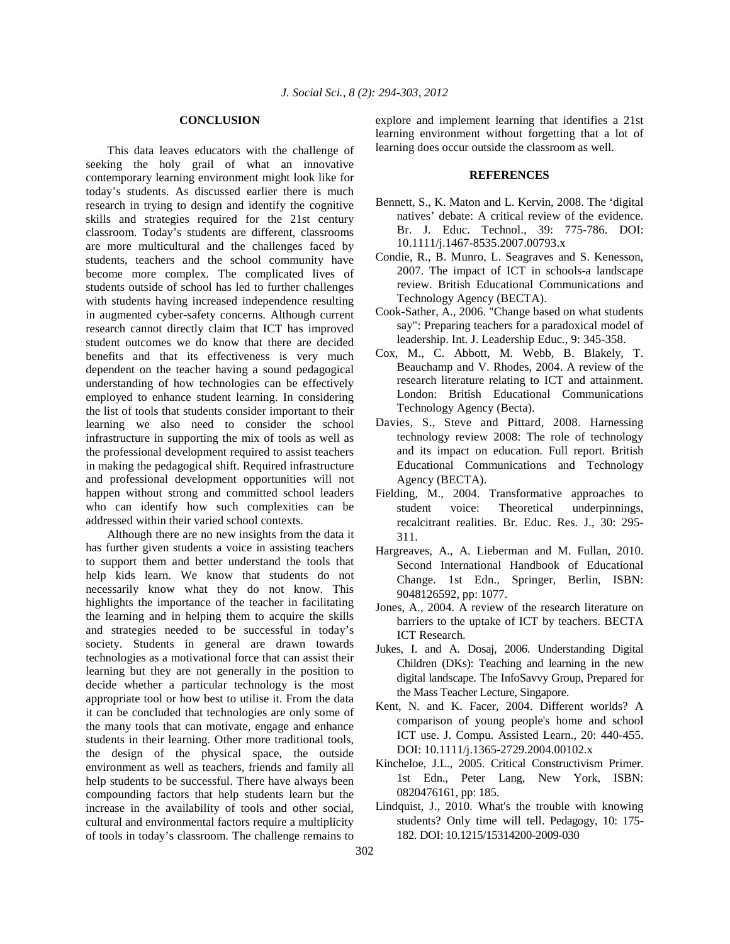#### **CONCLUSION**

 This data leaves educators with the challenge of seeking the holy grail of what an innovative contemporary learning environment might look like for today's students. As discussed earlier there is much research in trying to design and identify the cognitive skills and strategies required for the 21st century classroom. Today's students are different, classrooms are more multicultural and the challenges faced by students, teachers and the school community have become more complex. The complicated lives of students outside of school has led to further challenges with students having increased independence resulting in augmented cyber-safety concerns. Although current research cannot directly claim that ICT has improved student outcomes we do know that there are decided benefits and that its effectiveness is very much dependent on the teacher having a sound pedagogical understanding of how technologies can be effectively employed to enhance student learning. In considering the list of tools that students consider important to their learning we also need to consider the school infrastructure in supporting the mix of tools as well as the professional development required to assist teachers in making the pedagogical shift. Required infrastructure and professional development opportunities will not happen without strong and committed school leaders who can identify how such complexities can be addressed within their varied school contexts.

 Although there are no new insights from the data it has further given students a voice in assisting teachers to support them and better understand the tools that help kids learn. We know that students do not necessarily know what they do not know. This highlights the importance of the teacher in facilitating the learning and in helping them to acquire the skills and strategies needed to be successful in today's society. Students in general are drawn towards technologies as a motivational force that can assist their learning but they are not generally in the position to decide whether a particular technology is the most appropriate tool or how best to utilise it. From the data it can be concluded that technologies are only some of the many tools that can motivate, engage and enhance students in their learning. Other more traditional tools, the design of the physical space, the outside environment as well as teachers, friends and family all help students to be successful. There have always been compounding factors that help students learn but the increase in the availability of tools and other social, cultural and environmental factors require a multiplicity of tools in today's classroom. The challenge remains to

explore and implement learning that identifies a 21st learning environment without forgetting that a lot of learning does occur outside the classroom as well.

#### **REFERENCES**

- Bennett, S., K. Maton and L. Kervin, 2008. The 'digital natives' debate: A critical review of the evidence. Br. J. Educ. Technol., 39: 775-786. DOI: 10.1111/j.1467-8535.2007.00793.x
- Condie, R., B. Munro, L. Seagraves and S. Kenesson, 2007. The impact of ICT in schools-a landscape review. British Educational Communications and Technology Agency (BECTA).
- Cook-Sather, A., 2006. "Change based on what students say": Preparing teachers for a paradoxical model of leadership. Int. J. Leadership Educ., 9: 345-358.
- Cox, M., C. Abbott, M. Webb, B. Blakely, T. Beauchamp and V. Rhodes, 2004. A review of the research literature relating to ICT and attainment. London: British Educational Communications Technology Agency (Becta).
- Davies, S., Steve and Pittard, 2008. Harnessing technology review 2008: The role of technology and its impact on education. Full report*.* British Educational Communications and Technology Agency (BECTA).
- Fielding, M., 2004. Transformative approaches to student voice: Theoretical underpinnings, recalcitrant realities. Br. Educ. Res. J., 30: 295- 311.
- Hargreaves, A., A. Lieberman and M. Fullan, 2010. Second International Handbook of Educational Change. 1st Edn., Springer, Berlin, ISBN: 9048126592, pp: 1077.
- Jones, A., 2004. A review of the research literature on barriers to the uptake of ICT by teachers. BECTA ICT Research.
- Jukes, I. and A. Dosaj, 2006. Understanding Digital Children (DKs): Teaching and learning in the new digital landscape. The InfoSavvy Group, Prepared for the Mass Teacher Lecture, Singapore.
- Kent, N. and K. Facer, 2004. Different worlds? A comparison of young people's home and school ICT use. J. Compu. Assisted Learn., 20: 440-455. DOI: 10.1111/j.1365-2729.2004.00102.x
- Kincheloe, J.L., 2005. Critical Constructivism Primer. 1st Edn., Peter Lang, New York, ISBN: 0820476161, pp: 185.
- Lindquist, J., 2010. What's the trouble with knowing students? Only time will tell. Pedagogy, 10: 175- 182. DOI: 10.1215/15314200-2009-030